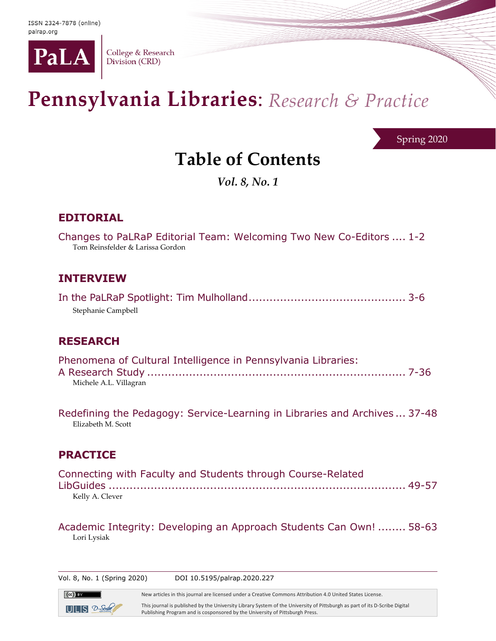

College & Research Division (CRD)

# Pennsylvania Libraries: Research & Practice

Spring 2020

## **Table of Contents**

*Vol. 8, No. 1*

## **EDITORIAL**

| Changes to PaLRaP Editorial Team: Welcoming Two New Co-Editors  1-2<br>Tom Reinsfelder & Larissa Gordon |
|---------------------------------------------------------------------------------------------------------|
|                                                                                                         |
| <b>INTERVIEW</b>                                                                                        |
|                                                                                                         |

### **RESEARCH**

Stephanie Campbell

| Phenomena of Cultural Intelligence in Pennsylvania Libraries: |  |
|---------------------------------------------------------------|--|
|                                                               |  |
| Michele A.L. Villagran                                        |  |

Redefining the Pedagogy: Service-Learning in Libraries and Archives ... 37-48 Elizabeth M. Scott

## **PRACTICE**

| Connecting with Faculty and Students through Course-Related |  |
|-------------------------------------------------------------|--|
|                                                             |  |
| Kelly A. Clever                                             |  |

Academic Integrity: Developing an Approach Students Can Own! ........ 58-63 Lori Lysiak

Vol. 8, No. 1 (Spring 2020) DOI 10.5195/palrap.2020.227

New articles in this journal are licensed under a Creative Commons Attribution 4.0 United States License.

 $UIUS$   $2-5$ 

 $\left(\mathrm{cc}\right)$  by

This journal is published by the University Library System of the University of Pittsburgh as part of its D-Scribe Digital Publishing Program and is cosponsored by the University of Pittsburgh Press.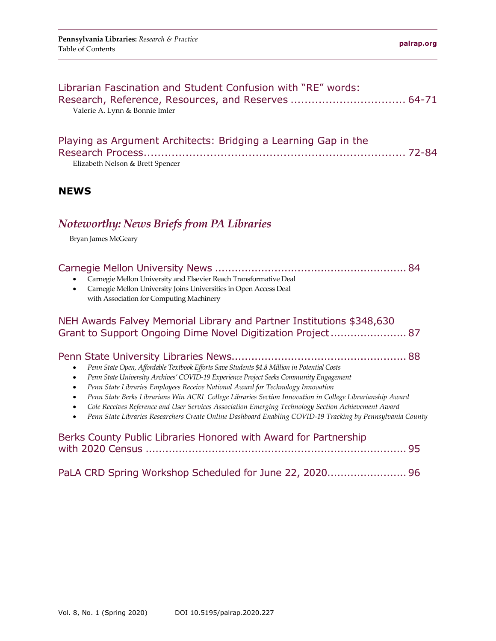| Librarian Fascination and Student Confusion with "RE" words:<br>Research, Reference, Resources, and Reserves  64-71<br>Valerie A. Lynn & Bonnie Imler                                                                                                                                                                                                                                                                                                                                                                                                                                                                                                                                   |  |
|-----------------------------------------------------------------------------------------------------------------------------------------------------------------------------------------------------------------------------------------------------------------------------------------------------------------------------------------------------------------------------------------------------------------------------------------------------------------------------------------------------------------------------------------------------------------------------------------------------------------------------------------------------------------------------------------|--|
| Playing as Argument Architects: Bridging a Learning Gap in the<br>Elizabeth Nelson & Brett Spencer                                                                                                                                                                                                                                                                                                                                                                                                                                                                                                                                                                                      |  |
| <b>NEWS</b>                                                                                                                                                                                                                                                                                                                                                                                                                                                                                                                                                                                                                                                                             |  |
| Noteworthy: News Briefs from PA Libraries<br>Bryan James McGeary                                                                                                                                                                                                                                                                                                                                                                                                                                                                                                                                                                                                                        |  |
| Carnegie Mellon University and Elsevier Reach Transformative Deal<br>Carnegie Mellon University Joins Universities in Open Access Deal<br>$\bullet$<br>with Association for Computing Machinery                                                                                                                                                                                                                                                                                                                                                                                                                                                                                         |  |
| NEH Awards Falvey Memorial Library and Partner Institutions \$348,630<br>Grant to Support Ongoing Dime Novel Digitization Project 87                                                                                                                                                                                                                                                                                                                                                                                                                                                                                                                                                    |  |
| Penn State Open, Affordable Textbook Efforts Save Students \$4.8 Million in Potential Costs<br>$\bullet$<br>Penn State University Archives' COVID-19 Experience Project Seeks Community Engagement<br>$\bullet$<br>Penn State Libraries Employees Receive National Award for Technology Innovation<br>$\bullet$<br>Penn State Berks Librarians Win ACRL College Libraries Section Innovation in College Librarianship Award<br>$\bullet$<br>Cole Receives Reference and User Services Association Emerging Technology Section Achievement Award<br>$\bullet$<br>Penn State Libraries Researchers Create Online Dashboard Enabling COVID-19 Tracking by Pennsylvania County<br>$\bullet$ |  |
| Berks County Public Libraries Honored with Award for Partnership                                                                                                                                                                                                                                                                                                                                                                                                                                                                                                                                                                                                                        |  |
| PaLA CRD Spring Workshop Scheduled for June 22, 2020 96                                                                                                                                                                                                                                                                                                                                                                                                                                                                                                                                                                                                                                 |  |